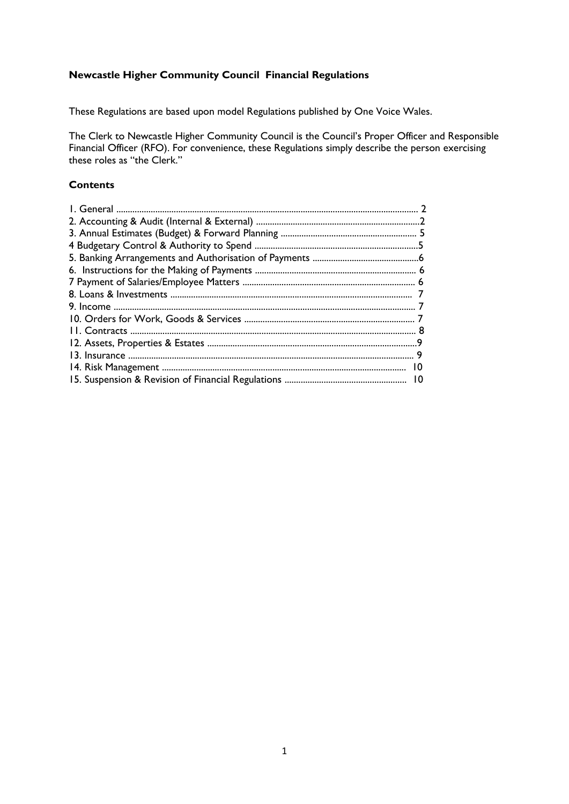# **Newcastle Higher Community Council Financial Regulations**

These Regulations are based upon model Regulations published by One Voice Wales.

The Clerk to Newcastle Higher Community Council is the Council's Proper Officer and Responsible Financial Officer (RFO). For convenience, these Regulations simply describe the person exercising these roles as "the Clerk."

# **Contents**

| 10 |  |
|----|--|
|    |  |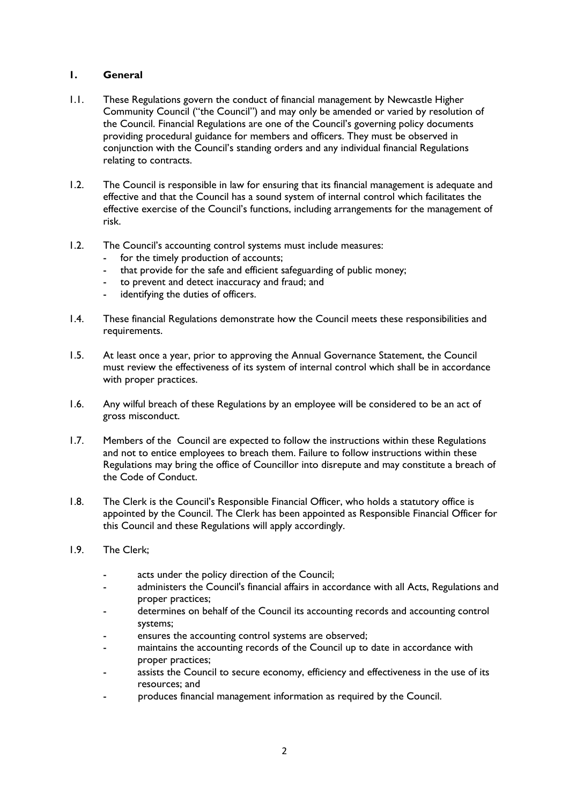# **1. General**

- 1.1. These Regulations govern the conduct of financial management by Newcastle Higher Community Council ("the Council") and may only be amended or varied by resolution of the Council. Financial Regulations are one of the Council's governing policy documents providing procedural guidance for members and officers. They must be observed in conjunction with the Council's standing orders and any individual financial Regulations relating to contracts.
- 1.2. The Council is responsible in law for ensuring that its financial management is adequate and effective and that the Council has a sound system of internal control which facilitates the effective exercise of the Council's functions, including arrangements for the management of risk.
- 1.2. The Council's accounting control systems must include measures:
	- for the timely production of accounts;
	- that provide for the safe and efficient safeguarding of public money;
	- to prevent and detect inaccuracy and fraud; and
	- identifying the duties of officers.
- 1.4. These financial Regulations demonstrate how the Council meets these responsibilities and requirements.
- 1.5. At least once a year, prior to approving the Annual Governance Statement, the Council must review the effectiveness of its system of internal control which shall be in accordance with proper practices.
- 1.6. Any wilful breach of these Regulations by an employee will be considered to be an act of gross misconduct.
- 1.7. Members of the Council are expected to follow the instructions within these Regulations and not to entice employees to breach them. Failure to follow instructions within these Regulations may bring the office of Councillor into disrepute and may constitute a breach of the Code of Conduct.
- 1.8. The Clerk is the Council's Responsible Financial Officer, who holds a statutory office is appointed by the Council. The Clerk has been appointed as Responsible Financial Officer for this Council and these Regulations will apply accordingly.
- 1.9. The Clerk;
	- acts under the policy direction of the Council;
	- administers the Council's financial affairs in accordance with all Acts, Regulations and proper practices;
	- determines on behalf of the Council its accounting records and accounting control systems;
	- ensures the accounting control systems are observed;
	- maintains the accounting records of the Council up to date in accordance with proper practices;
	- assists the Council to secure economy, efficiency and effectiveness in the use of its resources; and
	- produces financial management information as required by the Council.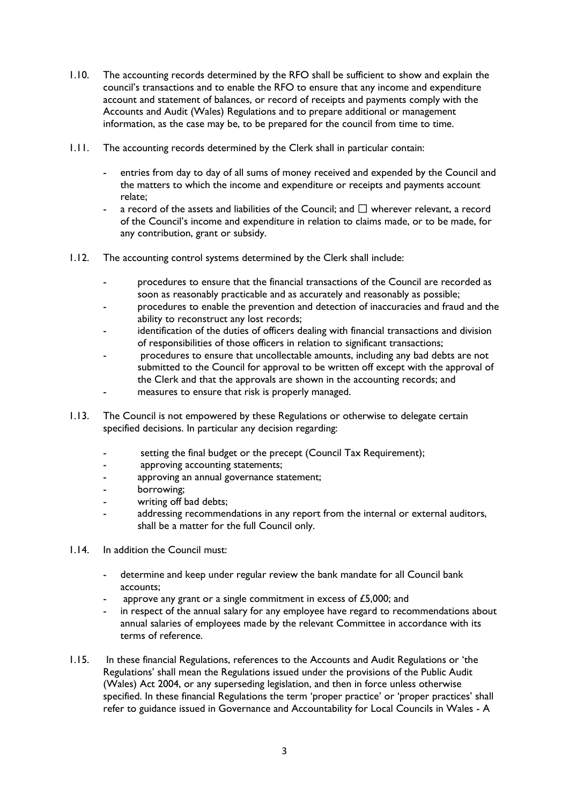- 1.10. The accounting records determined by the RFO shall be sufficient to show and explain the council's transactions and to enable the RFO to ensure that any income and expenditure account and statement of balances, or record of receipts and payments comply with the Accounts and Audit (Wales) Regulations and to prepare additional or management information, as the case may be, to be prepared for the council from time to time.
- 1.11. The accounting records determined by the Clerk shall in particular contain:
	- entries from day to day of all sums of money received and expended by the Council and the matters to which the income and expenditure or receipts and payments account relate;
	- a record of the assets and liabilities of the Council; and  $\Box$  wherever relevant, a record of the Council's income and expenditure in relation to claims made, or to be made, for any contribution, grant or subsidy.
- 1.12. The accounting control systems determined by the Clerk shall include:
	- procedures to ensure that the financial transactions of the Council are recorded as soon as reasonably practicable and as accurately and reasonably as possible;
	- procedures to enable the prevention and detection of inaccuracies and fraud and the ability to reconstruct any lost records;
	- identification of the duties of officers dealing with financial transactions and division of responsibilities of those officers in relation to significant transactions;
	- procedures to ensure that uncollectable amounts, including any bad debts are not submitted to the Council for approval to be written off except with the approval of the Clerk and that the approvals are shown in the accounting records; and
	- measures to ensure that risk is properly managed.
- 1.13. The Council is not empowered by these Regulations or otherwise to delegate certain specified decisions. In particular any decision regarding:
	- setting the final budget or the precept (Council Tax Requirement);
	- approving accounting statements;
	- approving an annual governance statement;
	- borrowing;
	- writing off bad debts:
	- addressing recommendations in any report from the internal or external auditors, shall be a matter for the full Council only.
- 1.14. In addition the Council must:
	- determine and keep under regular review the bank mandate for all Council bank accounts;
	- approve any grant or a single commitment in excess of  $£5,000$ ; and
	- in respect of the annual salary for any employee have regard to recommendations about annual salaries of employees made by the relevant Committee in accordance with its terms of reference.
- 1.15. In these financial Regulations, references to the Accounts and Audit Regulations or 'the Regulations' shall mean the Regulations issued under the provisions of the Public Audit (Wales) Act 2004, or any superseding legislation, and then in force unless otherwise specified. In these financial Regulations the term 'proper practice' or 'proper practices' shall refer to guidance issued in Governance and Accountability for Local Councils in Wales - A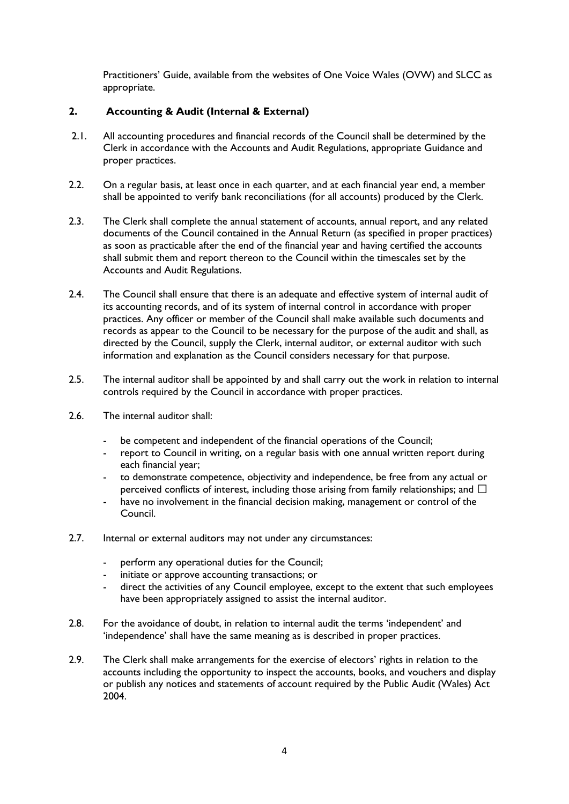Practitioners' Guide, available from the websites of One Voice Wales (OVW) and SLCC as appropriate.

# **2. Accounting & Audit (Internal & External)**

- 2.1. All accounting procedures and financial records of the Council shall be determined by the Clerk in accordance with the Accounts and Audit Regulations, appropriate Guidance and proper practices.
- 2.2. On a regular basis, at least once in each quarter, and at each financial year end, a member shall be appointed to verify bank reconciliations (for all accounts) produced by the Clerk.
- 2.3. The Clerk shall complete the annual statement of accounts, annual report, and any related documents of the Council contained in the Annual Return (as specified in proper practices) as soon as practicable after the end of the financial year and having certified the accounts shall submit them and report thereon to the Council within the timescales set by the Accounts and Audit Regulations.
- 2.4. The Council shall ensure that there is an adequate and effective system of internal audit of its accounting records, and of its system of internal control in accordance with proper practices. Any officer or member of the Council shall make available such documents and records as appear to the Council to be necessary for the purpose of the audit and shall, as directed by the Council, supply the Clerk, internal auditor, or external auditor with such information and explanation as the Council considers necessary for that purpose.
- 2.5. The internal auditor shall be appointed by and shall carry out the work in relation to internal controls required by the Council in accordance with proper practices.
- 2.6. The internal auditor shall:
	- be competent and independent of the financial operations of the Council;
	- report to Council in writing, on a regular basis with one annual written report during each financial year;
	- to demonstrate competence, objectivity and independence, be free from any actual or perceived conflicts of interest, including those arising from family relationships; and  $\Box$
	- have no involvement in the financial decision making, management or control of the Council.
- 2.7. Internal or external auditors may not under any circumstances:
	- perform any operational duties for the Council:
	- initiate or approve accounting transactions; or
	- direct the activities of any Council employee, except to the extent that such employees have been appropriately assigned to assist the internal auditor.
- 2.8. For the avoidance of doubt, in relation to internal audit the terms 'independent' and 'independence' shall have the same meaning as is described in proper practices.
- 2.9. The Clerk shall make arrangements for the exercise of electors' rights in relation to the accounts including the opportunity to inspect the accounts, books, and vouchers and display or publish any notices and statements of account required by the Public Audit (Wales) Act 2004.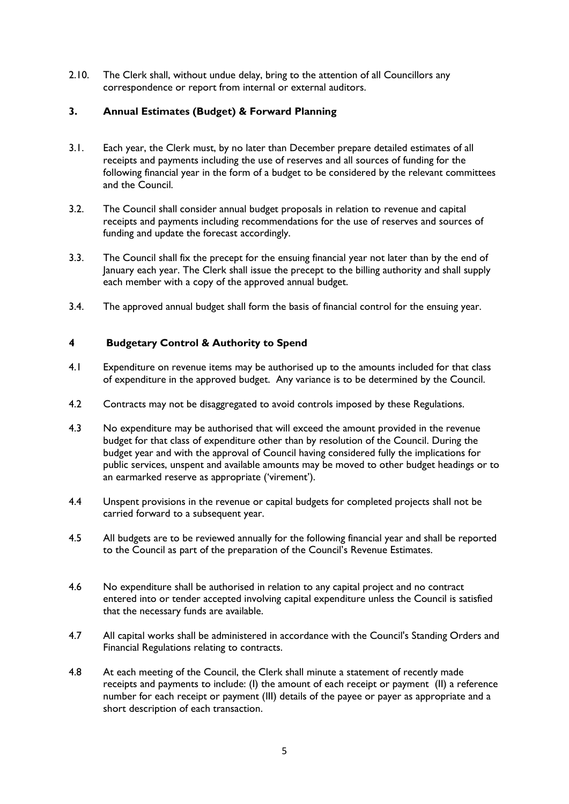2.10. The Clerk shall, without undue delay, bring to the attention of all Councillors any correspondence or report from internal or external auditors.

# **3. Annual Estimates (Budget) & Forward Planning**

- 3.1. Each year, the Clerk must, by no later than December prepare detailed estimates of all receipts and payments including the use of reserves and all sources of funding for the following financial year in the form of a budget to be considered by the relevant committees and the Council.
- 3.2. The Council shall consider annual budget proposals in relation to revenue and capital receipts and payments including recommendations for the use of reserves and sources of funding and update the forecast accordingly.
- 3.3. The Council shall fix the precept for the ensuing financial year not later than by the end of January each year. The Clerk shall issue the precept to the billing authority and shall supply each member with a copy of the approved annual budget.
- 3.4. The approved annual budget shall form the basis of financial control for the ensuing year.

# **4 Budgetary Control & Authority to Spend**

- 4.1 Expenditure on revenue items may be authorised up to the amounts included for that class of expenditure in the approved budget. Any variance is to be determined by the Council.
- 4.2 Contracts may not be disaggregated to avoid controls imposed by these Regulations.
- 4.3 No expenditure may be authorised that will exceed the amount provided in the revenue budget for that class of expenditure other than by resolution of the Council. During the budget year and with the approval of Council having considered fully the implications for public services, unspent and available amounts may be moved to other budget headings or to an earmarked reserve as appropriate ('virement').
- 4.4 Unspent provisions in the revenue or capital budgets for completed projects shall not be carried forward to a subsequent year.
- 4.5 All budgets are to be reviewed annually for the following financial year and shall be reported to the Council as part of the preparation of the Council's Revenue Estimates.
- 4.6 No expenditure shall be authorised in relation to any capital project and no contract entered into or tender accepted involving capital expenditure unless the Council is satisfied that the necessary funds are available.
- 4.7 All capital works shall be administered in accordance with the Council's Standing Orders and Financial Regulations relating to contracts.
- 4.8 At each meeting of the Council, the Clerk shall minute a statement of recently made receipts and payments to include: (I) the amount of each receipt or payment (II) a reference number for each receipt or payment (III) details of the payee or payer as appropriate and a short description of each transaction.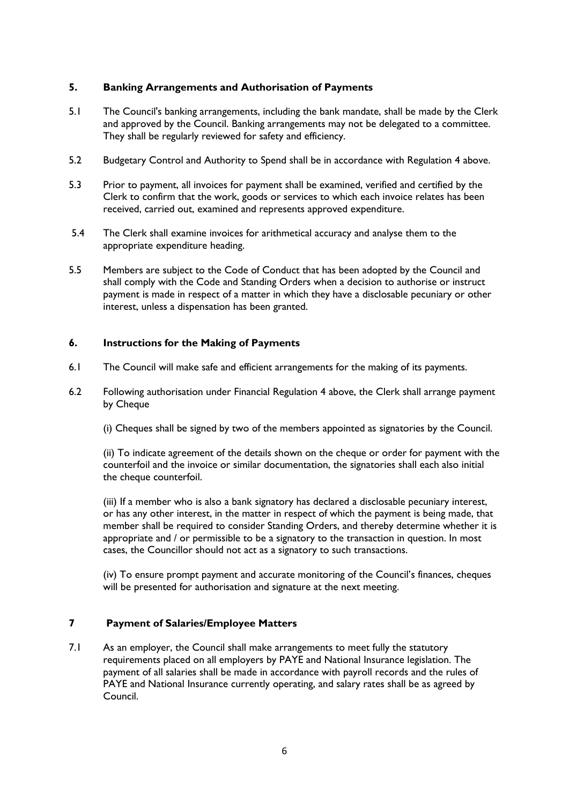# **5. Banking Arrangements and Authorisation of Payments**

- 5.1 The Council's banking arrangements, including the bank mandate, shall be made by the Clerk and approved by the Council. Banking arrangements may not be delegated to a committee. They shall be regularly reviewed for safety and efficiency.
- 5.2 Budgetary Control and Authority to Spend shall be in accordance with Regulation 4 above.
- 5.3 Prior to payment, all invoices for payment shall be examined, verified and certified by the Clerk to confirm that the work, goods or services to which each invoice relates has been received, carried out, examined and represents approved expenditure.
- 5.4 The Clerk shall examine invoices for arithmetical accuracy and analyse them to the appropriate expenditure heading.
- 5.5 Members are subject to the Code of Conduct that has been adopted by the Council and shall comply with the Code and Standing Orders when a decision to authorise or instruct payment is made in respect of a matter in which they have a disclosable pecuniary or other interest, unless a dispensation has been granted.

### **6. Instructions for the Making of Payments**

- 6.1 The Council will make safe and efficient arrangements for the making of its payments.
- 6.2 Following authorisation under Financial Regulation 4 above, the Clerk shall arrange payment by Cheque
	- (i) Cheques shall be signed by two of the members appointed as signatories by the Council.

(ii) To indicate agreement of the details shown on the cheque or order for payment with the counterfoil and the invoice or similar documentation, the signatories shall each also initial the cheque counterfoil.

(iii) If a member who is also a bank signatory has declared a disclosable pecuniary interest, or has any other interest, in the matter in respect of which the payment is being made, that member shall be required to consider Standing Orders, and thereby determine whether it is appropriate and / or permissible to be a signatory to the transaction in question. In most cases, the Councillor should not act as a signatory to such transactions.

(iv) To ensure prompt payment and accurate monitoring of the Council's finances, cheques will be presented for authorisation and signature at the next meeting.

# **7 Payment of Salaries/Employee Matters**

7.1 As an employer, the Council shall make arrangements to meet fully the statutory requirements placed on all employers by PAYE and National Insurance legislation. The payment of all salaries shall be made in accordance with payroll records and the rules of PAYE and National Insurance currently operating, and salary rates shall be as agreed by Council.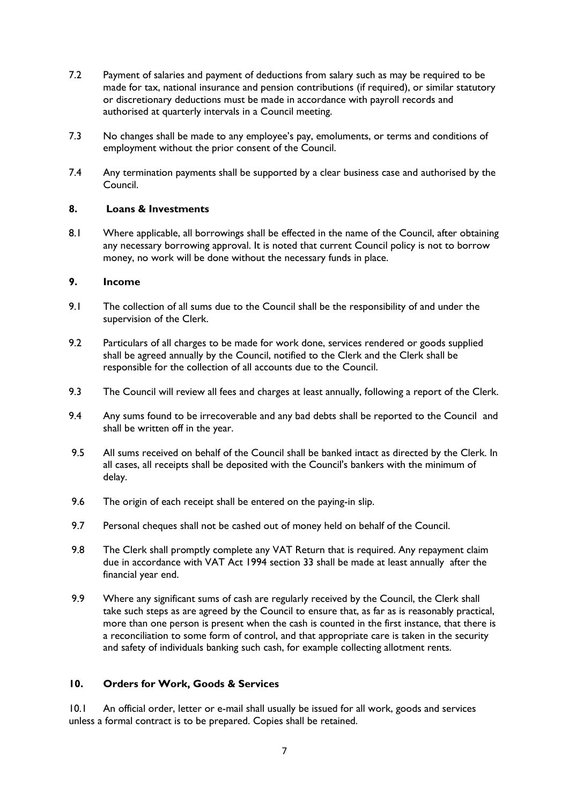- 7.2 Payment of salaries and payment of deductions from salary such as may be required to be made for tax, national insurance and pension contributions (if required), or similar statutory or discretionary deductions must be made in accordance with payroll records and authorised at quarterly intervals in a Council meeting.
- 7.3 No changes shall be made to any employee's pay, emoluments, or terms and conditions of employment without the prior consent of the Council.
- 7.4 Any termination payments shall be supported by a clear business case and authorised by the Council.

# **8. Loans & Investments**

8.1 Where applicable, all borrowings shall be effected in the name of the Council, after obtaining any necessary borrowing approval. It is noted that current Council policy is not to borrow money, no work will be done without the necessary funds in place.

#### **9. Income**

- 9.1 The collection of all sums due to the Council shall be the responsibility of and under the supervision of the Clerk.
- 9.2 Particulars of all charges to be made for work done, services rendered or goods supplied shall be agreed annually by the Council, notified to the Clerk and the Clerk shall be responsible for the collection of all accounts due to the Council.
- 9.3 The Council will review all fees and charges at least annually, following a report of the Clerk.
- 9.4 Any sums found to be irrecoverable and any bad debts shall be reported to the Council and shall be written off in the year.
- 9.5 All sums received on behalf of the Council shall be banked intact as directed by the Clerk. In all cases, all receipts shall be deposited with the Council's bankers with the minimum of delay.
- 9.6 The origin of each receipt shall be entered on the paying-in slip.
- 9.7 Personal cheques shall not be cashed out of money held on behalf of the Council.
- 9.8 The Clerk shall promptly complete any VAT Return that is required. Any repayment claim due in accordance with VAT Act 1994 section 33 shall be made at least annually after the financial year end.
- 9.9 Where any significant sums of cash are regularly received by the Council, the Clerk shall take such steps as are agreed by the Council to ensure that, as far as is reasonably practical, more than one person is present when the cash is counted in the first instance, that there is a reconciliation to some form of control, and that appropriate care is taken in the security and safety of individuals banking such cash, for example collecting allotment rents.

# **10. Orders for Work, Goods & Services**

10.1 An official order, letter or e-mail shall usually be issued for all work, goods and services unless a formal contract is to be prepared. Copies shall be retained.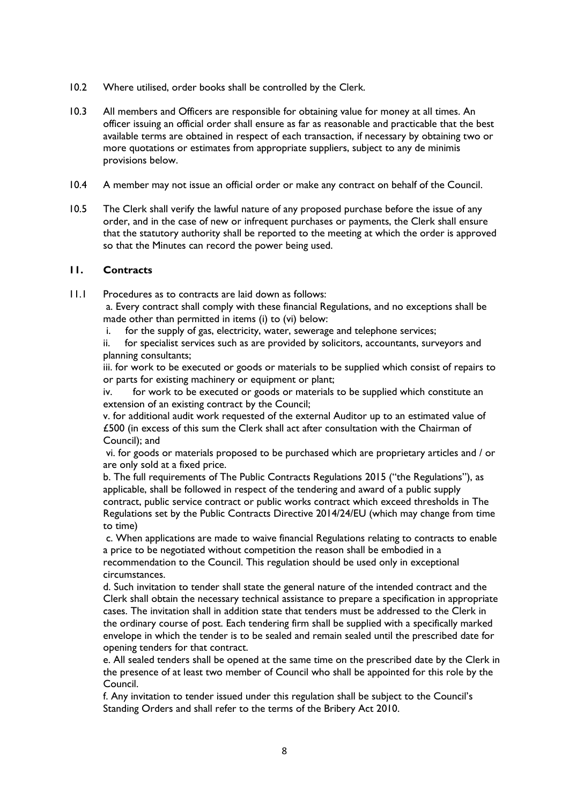- 10.2 Where utilised, order books shall be controlled by the Clerk.
- 10.3 All members and Officers are responsible for obtaining value for money at all times. An officer issuing an official order shall ensure as far as reasonable and practicable that the best available terms are obtained in respect of each transaction, if necessary by obtaining two or more quotations or estimates from appropriate suppliers, subject to any de minimis provisions below.
- 10.4 A member may not issue an official order or make any contract on behalf of the Council.
- 10.5 The Clerk shall verify the lawful nature of any proposed purchase before the issue of any order, and in the case of new or infrequent purchases or payments, the Clerk shall ensure that the statutory authority shall be reported to the meeting at which the order is approved so that the Minutes can record the power being used.

### **11. Contracts**

- 11.1 Procedures as to contracts are laid down as follows:
	- a. Every contract shall comply with these financial Regulations, and no exceptions shall be made other than permitted in items (i) to (vi) below:
	- i. for the supply of gas, electricity, water, sewerage and telephone services;
	- ii. for specialist services such as are provided by solicitors, accountants, surveyors and planning consultants;

iii. for work to be executed or goods or materials to be supplied which consist of repairs to or parts for existing machinery or equipment or plant;

iv. for work to be executed or goods or materials to be supplied which constitute an extension of an existing contract by the Council;

v. for additional audit work requested of the external Auditor up to an estimated value of £500 (in excess of this sum the Clerk shall act after consultation with the Chairman of Council); and

vi. for goods or materials proposed to be purchased which are proprietary articles and / or are only sold at a fixed price.

b. The full requirements of The Public Contracts Regulations 2015 ("the Regulations"), as applicable, shall be followed in respect of the tendering and award of a public supply contract, public service contract or public works contract which exceed thresholds in The Regulations set by the Public Contracts Directive 2014/24/EU (which may change from time to time)

c. When applications are made to waive financial Regulations relating to contracts to enable a price to be negotiated without competition the reason shall be embodied in a recommendation to the Council. This regulation should be used only in exceptional circumstances.

d. Such invitation to tender shall state the general nature of the intended contract and the Clerk shall obtain the necessary technical assistance to prepare a specification in appropriate cases. The invitation shall in addition state that tenders must be addressed to the Clerk in the ordinary course of post. Each tendering firm shall be supplied with a specifically marked envelope in which the tender is to be sealed and remain sealed until the prescribed date for opening tenders for that contract.

e. All sealed tenders shall be opened at the same time on the prescribed date by the Clerk in the presence of at least two member of Council who shall be appointed for this role by the Council.

f. Any invitation to tender issued under this regulation shall be subject to the Council's Standing Orders and shall refer to the terms of the Bribery Act 2010.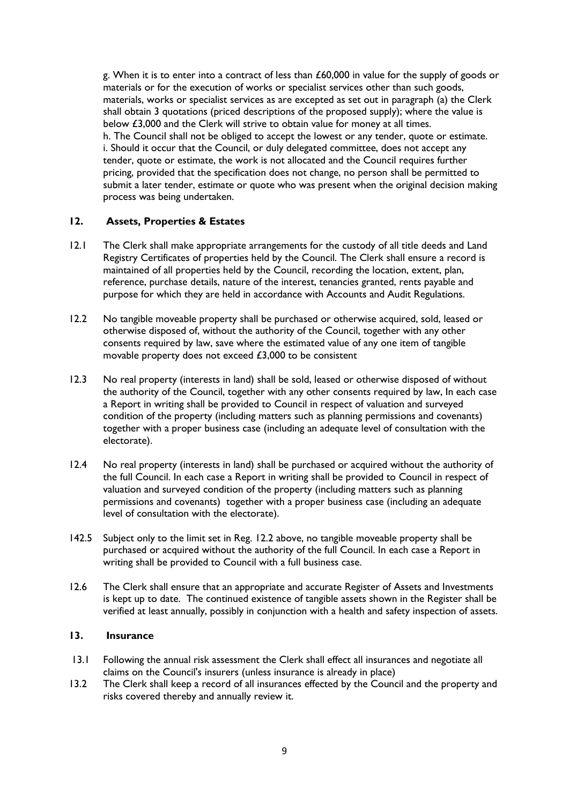g. When it is to enter into a contract of less than £60,000 in value for the supply of goods or materials or for the execution of works or specialist services other than such goods, materials, works or specialist services as are excepted as set out in paragraph (a) the Clerk shall obtain 3 quotations (priced descriptions of the proposed supply); where the value is below £3,000 and the Clerk will strive to obtain value for money at all times. h. The Council shall not be obliged to accept the lowest or any tender, quote or estimate. i. Should it occur that the Council, or duly delegated committee, does not accept any tender, quote or estimate, the work is not allocated and the Council requires further pricing, provided that the specification does not change, no person shall be permitted to submit a later tender, estimate or quote who was present when the original decision making process was being undertaken.

### **12. Assets, Properties & Estates**

- 12.1 The Clerk shall make appropriate arrangements for the custody of all title deeds and Land Registry Certificates of properties held by the Council. The Clerk shall ensure a record is maintained of all properties held by the Council, recording the location, extent, plan, reference, purchase details, nature of the interest, tenancies granted, rents payable and purpose for which they are held in accordance with Accounts and Audit Regulations.
- 12.2 No tangible moveable property shall be purchased or otherwise acquired, sold, leased or otherwise disposed of, without the authority of the Council, together with any other consents required by law, save where the estimated value of any one item of tangible movable property does not exceed £3,000 to be consistent
- 12.3 No real property (interests in land) shall be sold, leased or otherwise disposed of without the authority of the Council, together with any other consents required by law, In each case a Report in writing shall be provided to Council in respect of valuation and surveyed condition of the property (including matters such as planning permissions and covenants) together with a proper business case (including an adequate level of consultation with the electorate).
- 12.4 No real property (interests in land) shall be purchased or acquired without the authority of the full Council. In each case a Report in writing shall be provided to Council in respect of valuation and surveyed condition of the property (including matters such as planning permissions and covenants) together with a proper business case (including an adequate level of consultation with the electorate).
- 142.5 Subject only to the limit set in Reg. 12.2 above, no tangible moveable property shall be purchased or acquired without the authority of the full Council. In each case a Report in writing shall be provided to Council with a full business case.
- 12.6 The Clerk shall ensure that an appropriate and accurate Register of Assets and Investments is kept up to date. The continued existence of tangible assets shown in the Register shall be verified at least annually, possibly in conjunction with a health and safety inspection of assets.

### **13. Insurance**

- 13.1 Following the annual risk assessment the Clerk shall effect all insurances and negotiate all claims on the Council's insurers (unless insurance is already in place)
- 13.2 The Clerk shall keep a record of all insurances effected by the Council and the property and risks covered thereby and annually review it.